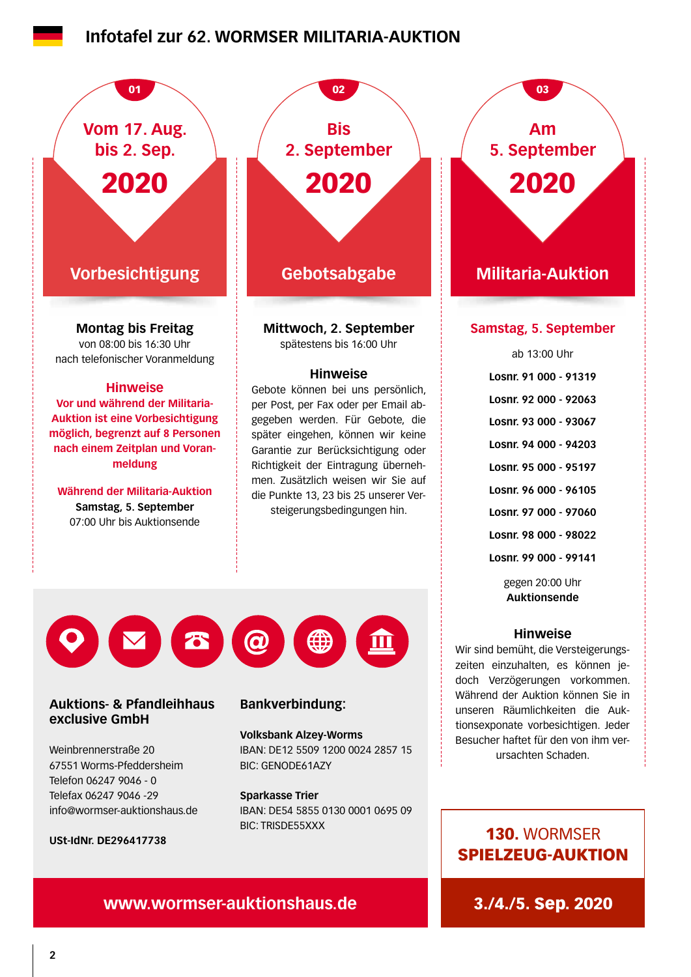## **Infotafel zur 62. WORMSER MILITARIA-AUKTION**



**USt-IdNr. DE296417738**

info@wormser-auktionshaus.de

Telefax 06247 9046 -29

**Sparkasse Trier**

IBAN: DE54 5855 0130 0001 0695 09 BIC: TRISDE55XXX

## 130. WORMSER SPIELZEUG-AUKTION

## **www.wormser-auktionshaus.de** 3./4./5. Sep. 2020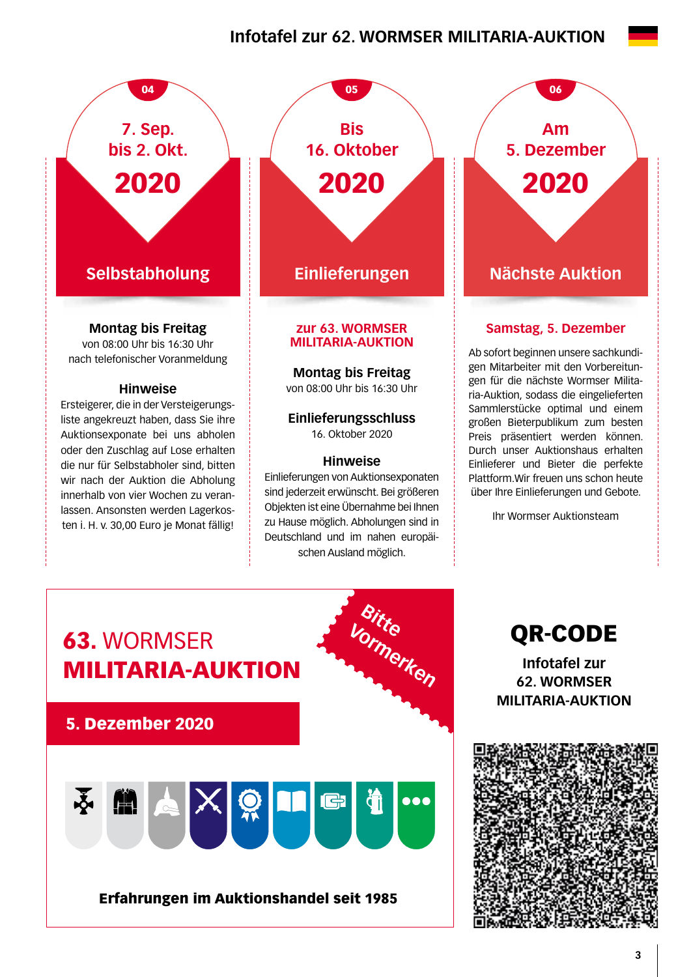## **Infotafel zur 62. WORMSER MILITARIA-AUKTION**



**Montag bis Freitag**

von 08:00 Uhr bis 16:30 Uhr nach telefonischer Voranmeldung

#### **Hinweise**

Ersteigerer, die in der Versteigerungsliste angekreuzt haben, dass Sie ihre Auktionsexponate bei uns abholen oder den Zuschlag auf Lose erhalten die nur für Selbstabholer sind, bitten wir nach der Auktion die Abholung innerhalb von vier Wochen zu veranlassen. Ansonsten werden Lagerkosten i. H. v. 30,00 Euro je Monat fällig!

**Selbstabholung Einlieferungen Nächste Auktion** 04 05 05 06 **Bis 16. Oktober** 2020

#### **zur 63. WORMSER MILITARIA-AUKTION**

**Montag bis Freitag** 

von 08:00 Uhr bis 16:30 Uhr

**Einlieferungsschluss**  16. Oktober 2020

#### **Hinweise**

Einlieferungen von Auktionsexponaten sind jederzeit erwünscht. Bei größeren Objekten ist eine Übernahme bei Ihnen zu Hause möglich. Abholungen sind in Deutschland und im nahen europäischen Ausland möglich.

**Am 5. Dezember** 2020

### **Samstag, 5. Dezember**

Ab sofort beginnen unsere sachkundigen Mitarbeiter mit den Vorbereitungen für die nächste Wormser Militaria-Auktion, sodass die eingelieferten Sammlerstücke optimal und einem großen Bieterpublikum zum besten Preis präsentiert werden können. Durch unser Auktionshaus erhalten Einlieferer und Bieter die perfekte Plattform.Wir freuen uns schon heute über Ihre Einlieferungen und Gebote.

Ihr Wormser Auktionsteam



QR-CODE

**Infotafel zur 62. WORMSER MILITARIA-AUKTION**

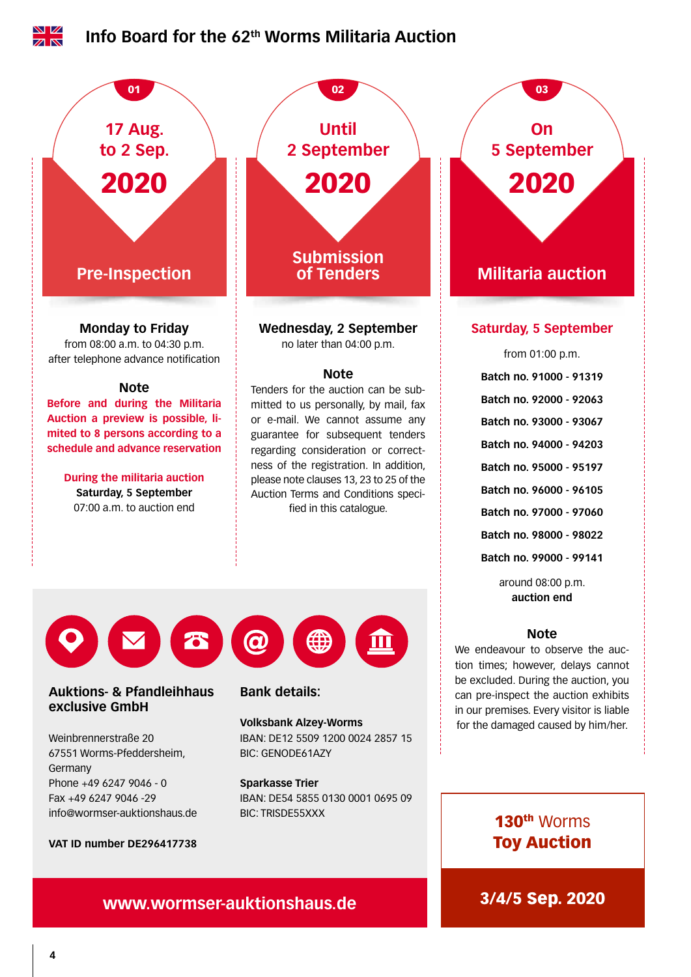

#### **VAT ID number DE296417738**

## **www.wormser-auktionshaus.de** 3/4/5 Sep. 2020